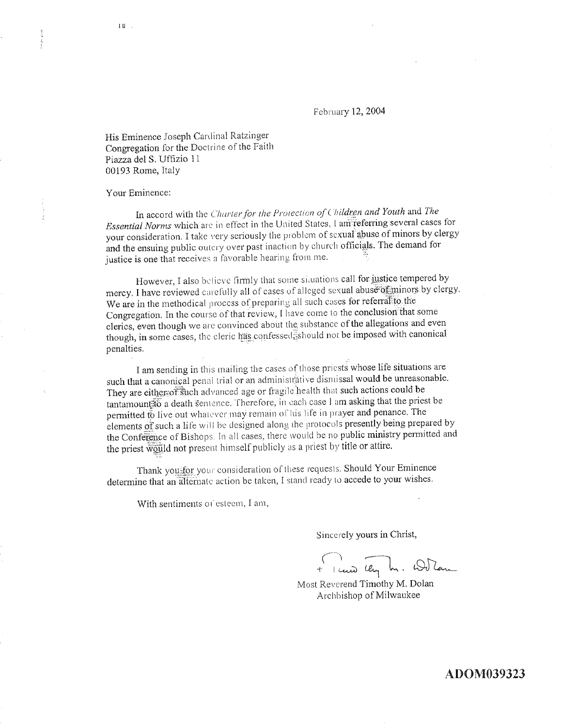February 12, 2004

His Eminence Joseph Cardinal Ratzinger Congregation for the Doctrine of the Faith Piazza del S. Uffizio 11 00193 Rome, Italy

Your Eminence:

In accord with the Charter for the Protection of Children and Youth and The Essential Norms which are in effect in the United States, I am referring several cases for your consideration. I take very seriously the problem of sexual abuse of minors by clergy and the ensuing public outcry over past inaction by church officials. The demand for justice is one that receives a favorable hearing from me.

However, I also believe firmly that some situations call for justice tempered by mercy. I have reviewed carefully all of cases of alleged sexual abuse of minors by clergy. We are in the methodical process of preparing all such cases for referral to the Congregation. In the course of that review, I have come to the conclusion that some clerics, even though we are convinced about the substance of the allegations and even though, in some cases, the eleric has confessed ishould not be imposed with canonical penalties.

I am sending in this mailing the cases of those priests whose life situations are such that a canonical penal trial or an administrative dismissal would be unreasonable. They are either of such advanced age or fragile health that such actions could be tantamountão a death sentence. Therefore, in each case I am asking that the priest be permitted to live out whatever may remain of his life in prayer and penance. The elements of such a life will be designed along the protocols presently being prepared by the Conference of Bishops. In all cases, there would be no public ministry permitted and the priest would not present himself publicly as a priest by title or attire.

Thank you for your consideration of these requests. Should Your Eminence determine that an alternate action be taken, I stand ready to accede to your wishes.

With sentiments of esteem, I am,

Sincerely yours in Christ,

+ 1 cuis ley In. Wilam

Most Reverend Timothy M. Dolan Archbishop of Milwaukee

ADOM039323

1.11 .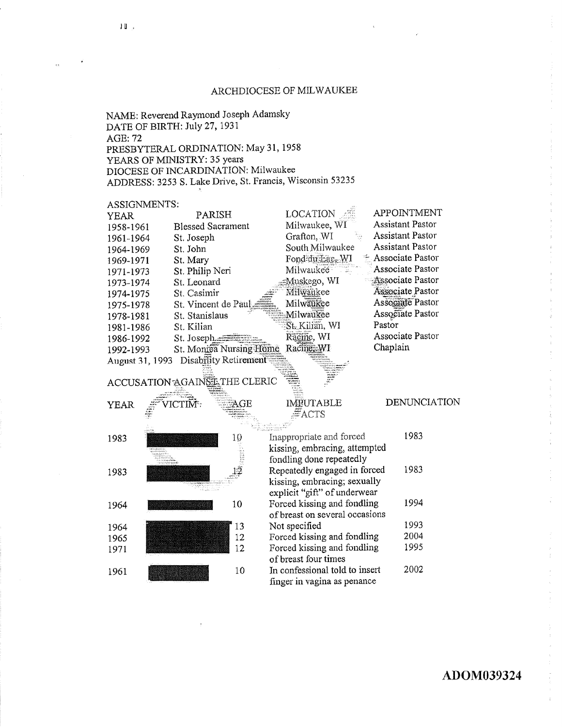#### ARCHDIOCESE OF MILWAUKEE

NAME: Reverend Raymond Joseph Adamsky DATE OF BIRTH: July 27, 1931 **AGE: 72** PRESBYTERAL ORDINATION: May 31, 1958 YEARS OF MINISTRY: 35 years DIOCESE OF INCARDINATION: Milwaukee ADDRESS: 3253 S. Lake Drive, St. Francis, Wisconsin 53235

#### **ASSIGNMENTS:**

| ,,,,,,,,,,,,,,,,,, |                          |                 |                         |
|--------------------|--------------------------|-----------------|-------------------------|
| <b>YEAR</b>        | PARISH                   | <b>LOCATION</b> | APPOINTMENT             |
| 1958-1961          | <b>Blessed Sacrament</b> | Milwaukee, WI   | <b>Assistant Pastor</b> |
| 1961-1964          | St. Joseph               | Grafton, WI     | <b>Assistant Pastor</b> |
| 1964-1969          | St. John                 | South Milwaukee | <b>Assistant Pastor</b> |
| 1969-1971          | St. Mary                 | Fond du Lac, WI | Associate Pastor        |
| 1971-1973          | St. Philip Neri          | Milwaukee       | Associate Pastor        |
| 1973-1974          | St. Leonard              | Muskego, WI     | Associate Pastor        |
| 1974-1975          | St. Casimir              | Milwaukee       | Associate Pastor        |
| 1975-1978          | St. Vincent de Paul      | Milwaukee       | Associate Pastor        |
| 1978-1981          | St. Stanislaus           | Milwaukee       | Associate Pastor        |
| 1981-1986          | St. Kilian               | St. Kilian, WI  | Pastor                  |
| 1986-1992          | St. Joseph               | Räcine, WI      | Associate Pastor        |
| 1992-1993          | St. Moniea Nursing Home  | Racine: WI      | Chaplain                |
| August 31, 1993    | Disability Retirement    |                 |                         |

# ACCUSATION AGAINST THE CLERIC

| <b>YEAR</b> | <br><b>Controller of the Controller of the Con-</b><br>/ICTIM:                   | the course cont          | I                   |
|-------------|----------------------------------------------------------------------------------|--------------------------|---------------------|
|             |                                                                                  | <b>BELINDING - SEACH</b> | h bing an high bana |
| 1983        |                                                                                  | 10                       | Inapp               |
|             | Sterning and State<br>mananan r<br>issan iyo cilin                               |                          | kissii              |
|             | material control<br><b>KANSTRONE RAM</b><br>rasionad <b>eia</b><br>an tro-sample |                          | fondl               |
| 1983        |                                                                                  |                          | Repe                |
|             | <b>CHARLES AROUND SALE</b><br>and south                                          |                          | kissii              |
|             | ran di<br>محتشا وويها                                                            |                          | expli               |
| 1964        |                                                                                  | 10                       | Force               |
|             |                                                                                  |                          | of br               |
| 1964        |                                                                                  | 13                       | Not s               |
| 1965        |                                                                                  | 12                       | Force               |
| 1971        |                                                                                  | 12                       | Force               |
|             |                                                                                  |                          | of br               |
| 1961        |                                                                                  | 10                       | In co               |
|             |                                                                                  |                          | $\sim$ .            |

## **IMEUTABLE**  $\overline{\#}$ ACTS

#### **DENUNCIATION**

| Inappropriate and forced       | 1983 |
|--------------------------------|------|
| kissing, embracing, attempted  |      |
| fondling done repeatedly       |      |
| Repeatedly engaged in forced   | 1983 |
| kissing, embracing; sexually   |      |
| explicit "gift" of underwear   |      |
| Forced kissing and fondling    | 1994 |
| of breast on several occasions |      |
| Not specified                  | 1993 |
| Forced kissing and fondling    | 2004 |
| Forced kissing and fondling    | 1995 |
| of breast four times           |      |
| In confessional told to insert | 2002 |
| finger in vagina as penance    |      |

#### $10<sub>1</sub>$

## ADOM039324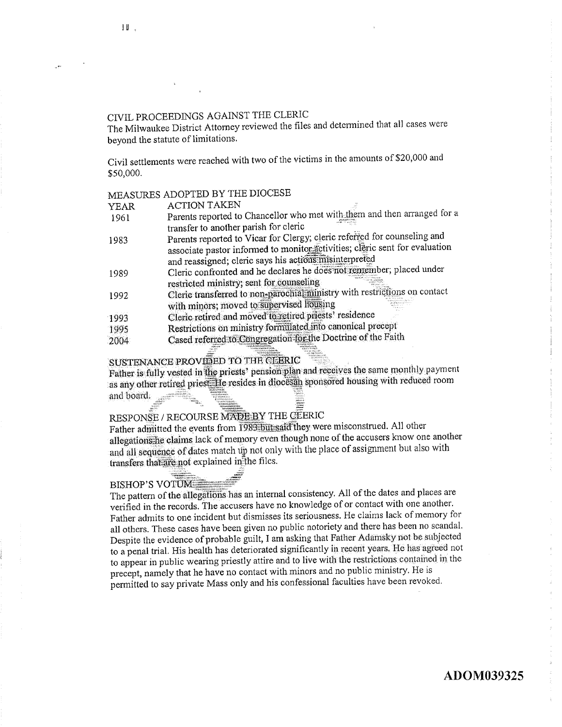## CIVIL PROCEEDINGS AGAINST THE CLERIC

The Milwaukee District Attorney reviewed the files and determined that all cases were bevond the statute of limitations.

Civil settlements were reached with two of the victims in the amounts of \$20,000 and \$50,000.

## MEASURES ADOPTED BY THE DIOCESE

| YEAR | <b>ACTION TAKEN</b>                                                         |
|------|-----------------------------------------------------------------------------|
| 1961 | Parents reported to Chancellor who met with them and then arranged for a    |
|      | transfer to another parish for cleric                                       |
| 1983 | Parents reported to Vicar for Clergy; cleric referred for counseling and    |
|      | associate pastor informed to monitor activities; cleric sent for evaluation |
|      | and reassigned; cleric says his actions misinterpreted                      |
| 1989 | Cleric confronted and he declares he does not remember; placed under        |
|      | restricted ministry; sent for counseling                                    |
| 1992 | Cleric transferred to non-parochial ministry with restrictions on contact   |
|      | with minors; moved to supervised housing                                    |
| 1993 | Cleric retired and moved to retired priests' residence                      |
| 1995 | Restrictions on ministry formulated into canonical precept                  |
| 2004 | Cased referred to Congregation for the Doctrine of the Faith                |
|      |                                                                             |

## SUSTENANCE PROVIDED TO THE CLERIC

Father is fully vested in the priests' pension plan and receives the same monthly payment as any other retired priest. He resides in diocessin sponsored housing with reduced room and board.

## RESPONSE / RECOURSE MADE BY THE GEERIC

Father admitted the events from 1983 but said they were misconstrued. All other allegations he claims lack of memory even though none of the accusers know one another and all sequence of dates match up not only with the place of assignment but also with transfers that are not explained in the files.

## **BISHOP'S VOTUME**

The pattern of the allegations has an internal consistency. All of the dates and places are verified in the records. The accusers have no knowledge of or contact with one another. Father admits to one incident but dismisses its seriousness. He claims lack of memory for all others. These cases have been given no public notoriety and there has been no scandal. Despite the evidence of probable guilt, I am asking that Father Adamsky not be subjected to a penal trial. His health has deteriorated significantly in recent years. He has agreed not to appear in public wearing priestly attire and to live with the restrictions contained in the precept, namely that he have no contact with minors and no public ministry. He is permitted to say private Mass only and his confessional faculties have been revoked.